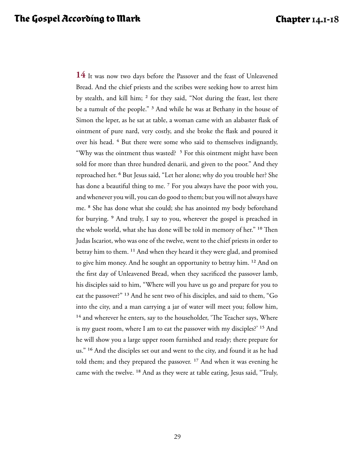**14** It was now two days before the Passover and the feast of Unleavened Bread. And the chief priests and the scribes were seeking how to arrest him by stealth, and kill him; <sup>2</sup> for they said, "Not during the feast, lest there be a tumult of the people." 3 And while he was at Bethany in the house of Simon the leper, as he sat at table, a woman came with an alabaster flask of ointment of pure nard, very costly, and she broke the flask and poured it over his head. <sup>4</sup> But there were some who said to themselves indignantly, "Why was the ointment thus wasted? <sup>5</sup> For this ointment might have been sold for more than three hundred denarii, and given to the poor." And they reproached her. 6 But Jesus said, "Let her alone; why do you trouble her? She has done a beautiful thing to me.<sup>7</sup> For you always have the poor with you, and whenever you will, you can do good to them; but you will not always have me. 8 She has done what she could; she has anointed my body beforehand for burying. 9 And truly, I say to you, wherever the gospel is preached in the whole world, what she has done will be told in memory of her." 10 Then Judas Iscariot, who was one of the twelve, went to the chief priests in order to betray him to them. 11 And when they heard it they were glad, and promised to give him money. And he sought an opportunity to betray him. 12 And on the first day of Unleavened Bread, when they sacrificed the passover lamb, his disciples said to him, "Where will you have us go and prepare for you to eat the passover?" 13 And he sent two of his disciples, and said to them, "Go into the city, and a man carrying a jar of water will meet you; follow him, <sup>14</sup> and wherever he enters, say to the householder, 'The Teacher says, Where is my guest room, where I am to eat the passover with my disciples?' 15 And he will show you a large upper room furnished and ready; there prepare for us." 16 And the disciples set out and went to the city, and found it as he had told them; and they prepared the passover. <sup>17</sup> And when it was evening he came with the twelve. 18 And as they were at table eating, Jesus said, "Truly,